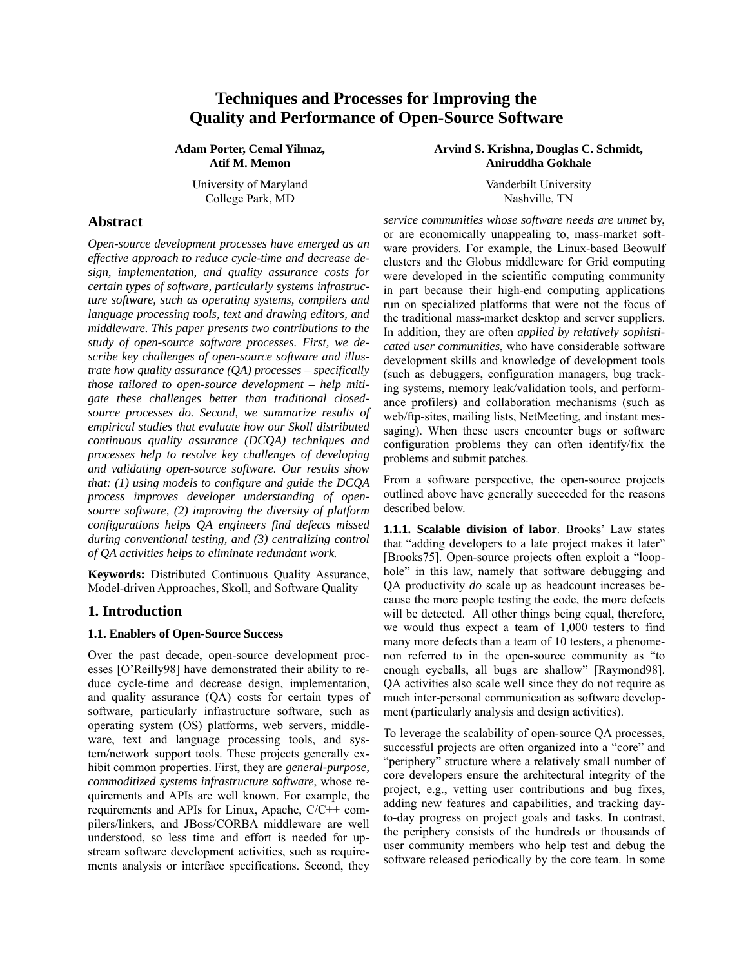# **Techniques and Processes for Improving the Quality and Performance of Open-Source Software**

**Adam Porter, Cemal Yilmaz, Atif M. Memon** 

> University of Maryland Vanderbilt University College Park, MD Nashville, TN

**Abstract** 

*Open-source development processes have emerged as an effective approach to reduce cycle-time and decrease design, implementation, and quality assurance costs for certain types of software, particularly systems infrastructure software, such as operating systems, compilers and language processing tools, text and drawing editors, and middleware. This paper presents two contributions to the study of open-source software processes. First, we describe key challenges of open-source software and illustrate how quality assurance (QA) processes – specifically those tailored to open-source development – help mitigate these challenges better than traditional closedsource processes do. Second, we summarize results of empirical studies that evaluate how our Skoll distributed continuous quality assurance (DCQA) techniques and processes help to resolve key challenges of developing and validating open-source software. Our results show that: (1) using models to configure and guide the DCQA process improves developer understanding of opensource software, (2) improving the diversity of platform configurations helps QA engineers find defects missed during conventional testing, and (3) centralizing control of QA activities helps to eliminate redundant work.* 

**Keywords:** Distributed Continuous Quality Assurance, Model-driven Approaches, Skoll, and Software Quality

### **1. Introduction**

#### **1.1. Enablers of Open-Source Success**

Over the past decade, open-source development processes [O'Reilly98] have demonstrated their ability to reduce cycle-time and decrease design, implementation, and quality assurance (QA) costs for certain types of software, particularly infrastructure software, such as operating system (OS) platforms, web servers, middleware, text and language processing tools, and system/network support tools. These projects generally exhibit common properties. First, they are *general-purpose, commoditized systems infrastructure software*, whose requirements and APIs are well known. For example, the requirements and APIs for Linux, Apache, C/C++ compilers/linkers, and JBoss/CORBA middleware are well understood, so less time and effort is needed for upstream software development activities, such as requirements analysis or interface specifications. Second, they **Arvind S. Krishna, Douglas C. Schmidt, Aniruddha Gokhale** 

*service communities whose software needs are unmet* by, or are economically unappealing to, mass-market software providers. For example, the Linux-based Beowulf clusters and the Globus middleware for Grid computing were developed in the scientific computing community in part because their high-end computing applications run on specialized platforms that were not the focus of the traditional mass-market desktop and server suppliers. In addition, they are often *applied by relatively sophisticated user communities*, who have considerable software development skills and knowledge of development tools (such as debuggers, configuration managers, bug tracking systems, memory leak/validation tools, and performance profilers) and collaboration mechanisms (such as web/ftp-sites, mailing lists, NetMeeting, and instant messaging). When these users encounter bugs or software configuration problems they can often identify/fix the problems and submit patches.

From a software perspective, the open-source projects outlined above have generally succeeded for the reasons described below.

**1.1.1. Scalable division of labor**. Brooks' Law states that "adding developers to a late project makes it later" [Brooks75]. Open-source projects often exploit a "loophole" in this law, namely that software debugging and QA productivity *do* scale up as headcount increases because the more people testing the code, the more defects will be detected. All other things being equal, therefore, we would thus expect a team of 1,000 testers to find many more defects than a team of 10 testers, a phenomenon referred to in the open-source community as "to enough eyeballs, all bugs are shallow" [Raymond98]. QA activities also scale well since they do not require as much inter-personal communication as software development (particularly analysis and design activities).

To leverage the scalability of open-source QA processes, successful projects are often organized into a "core" and "periphery" structure where a relatively small number of core developers ensure the architectural integrity of the project, e.g., vetting user contributions and bug fixes, adding new features and capabilities, and tracking dayto-day progress on project goals and tasks. In contrast, the periphery consists of the hundreds or thousands of user community members who help test and debug the software released periodically by the core team. In some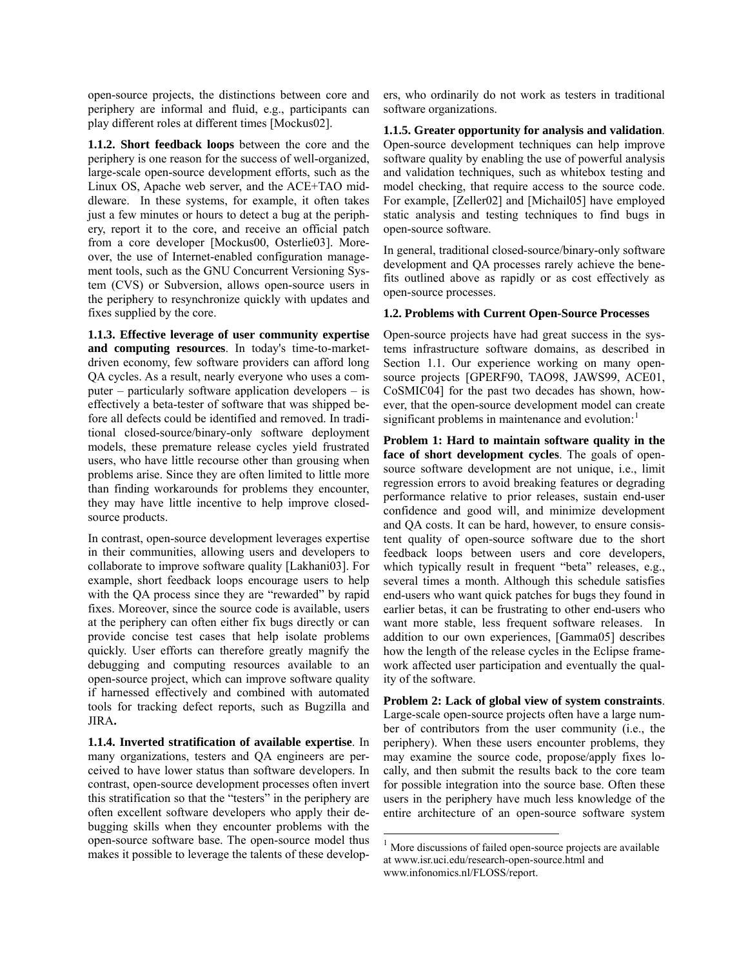open-source projects, the distinctions between core and periphery are informal and fluid, e.g., participants can play different roles at different times [Mockus02].

**1.1.2. Short feedback loops** between the core and the periphery is one reason for the success of well-organized, large-scale open-source development efforts, such as the Linux OS, Apache web server, and the ACE+TAO middleware. In these systems, for example, it often takes just a few minutes or hours to detect a bug at the periphery, report it to the core, and receive an official patch from a core developer [Mockus00, Osterlie03]. Moreover, the use of Internet-enabled configuration management tools, such as the GNU Concurrent Versioning System (CVS) or Subversion, allows open-source users in the periphery to resynchronize quickly with updates and fixes supplied by the core.

**1.1.3. Effective leverage of user community expertise and computing resources**. In today's time-to-marketdriven economy, few software providers can afford long QA cycles. As a result, nearly everyone who uses a computer – particularly software application developers – is effectively a beta-tester of software that was shipped before all defects could be identified and removed. In traditional closed-source/binary-only software deployment models, these premature release cycles yield frustrated users, who have little recourse other than grousing when problems arise. Since they are often limited to little more than finding workarounds for problems they encounter, they may have little incentive to help improve closedsource products.

In contrast, open-source development leverages expertise in their communities, allowing users and developers to collaborate to improve software quality [Lakhani03]. For example, short feedback loops encourage users to help with the QA process since they are "rewarded" by rapid fixes. Moreover, since the source code is available, users at the periphery can often either fix bugs directly or can provide concise test cases that help isolate problems quickly. User efforts can therefore greatly magnify the debugging and computing resources available to an open-source project, which can improve software quality if harnessed effectively and combined with automated tools for tracking defect reports, such as Bugzilla and JIRA**.** 

<span id="page-1-0"></span>**1.1.4. Inverted stratification of available expertise**. In many organizations, testers and QA engineers are perceived to have lower status than software developers. In contrast, open-source development processes often invert this stratification so that the "testers" in the periphery are often excellent software developers who apply their debugging skills when they encounter problems with the open-source software base. The open-source model thus makes it possible to leverage the talents of these develop-

ers, who ordinarily do not work as testers in traditional software organizations.

**1.1.5. Greater opportunity for analysis and validation**. Open-source development techniques can help improve software quality by enabling the use of powerful analysis and validation techniques, such as whitebox testing and model checking, that require access to the source code. For example, [Zeller02] and [Michail05] have employed static analysis and testing techniques to find bugs in open-source software.

In general, traditional closed-source/binary-only software development and QA processes rarely achieve the benefits outlined above as rapidly or as cost effectively as open-source processes.

#### **1.2. Problems with Current Open-Source Processes**

Open-source projects have had great success in the systems infrastructure software domains, as described in Section 1.1. Our experience working on many opensource projects [GPERF90, TAO98, JAWS99, ACE01, CoSMIC04] for the past two decades has shown, however, that the open-source development model can create significant problems in maintenance and evolution:

**Problem 1: Hard to maintain software quality in the face of short development cycles**. The goals of opensource software development are not unique, i.e., limit regression errors to avoid breaking features or degrading performance relative to prior releases, sustain end-user confidence and good will, and minimize development and QA costs. It can be hard, however, to ensure consistent quality of open-source software due to the short feedback loops between users and core developers, which typically result in frequent "beta" releases, e.g., several times a month. Although this schedule satisfies end-users who want quick patches for bugs they found in earlier betas, it can be frustrating to other end-users who want more stable, less frequent software releases. In addition to our own experiences, [Gamma05] describes how the length of the release cycles in the Eclipse framework affected user participation and eventually the quality of the software.

**Problem 2: Lack of global view of system constraints**. Large-scale open-source projects often have a large number of contributors from the user community (i.e., the periphery). When these users encounter problems, they may examine the source code, propose/apply fixes locally, and then submit the results back to the core team for possible integration into the source base. Often these users in the periphery have much less knowledge of the entire architecture of an open-source software system

 $\overline{\phantom{a}}$ 

<sup>&</sup>lt;sup>1</sup> More discussions of failed open-source projects are available at www.isr.uci.edu/research-open-source.html and www.infonomics.nl/FLOSS/report.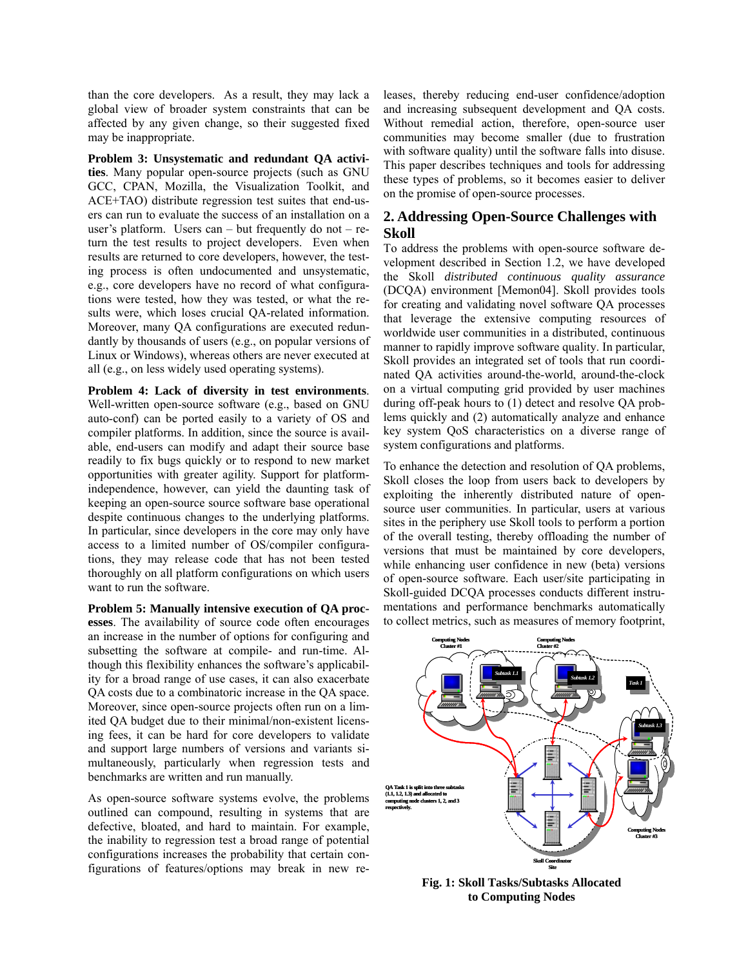than the core developers. As a result, they may lack a global view of broader system constraints that can be affected by any given change, so their suggested fixed may be inappropriate.

**Problem 3: Unsystematic and redundant QA activities**. Many popular open-source projects (such as GNU GCC, CPAN, Mozilla, the Visualization Toolkit, and ACE+TAO) distribute regression test suites that end-users can run to evaluate the success of an installation on a user's platform. Users can – but frequently do not – return the test results to project developers. Even when results are returned to core developers, however, the testing process is often undocumented and unsystematic, e.g., core developers have no record of what configurations were tested, how they was tested, or what the results were, which loses crucial QA-related information. Moreover, many QA configurations are executed redundantly by thousands of users (e.g., on popular versions of Linux or Windows), whereas others are never executed at all (e.g., on less widely used operating systems).

**Problem 4: Lack of diversity in test environments**. Well-written open-source software (e.g., based on GNU auto-conf) can be ported easily to a variety of OS and compiler platforms. In addition, since the source is available, end-users can modify and adapt their source base readily to fix bugs quickly or to respond to new market opportunities with greater agility. Support for platformindependence, however, can yield the daunting task of keeping an open-source source software base operational despite continuous changes to the underlying platforms. In particular, since developers in the core may only have access to a limited number of OS/compiler configurations, they may release code that has not been tested thoroughly on all platform configurations on which users want to run the software.

**Problem 5: Manually intensive execution of QA processes**. The availability of source code often encourages an increase in the number of options for configuring and subsetting the software at compile- and run-time. Although this flexibility enhances the software's applicability for a broad range of use cases, it can also exacerbate QA costs due to a combinatoric increase in the QA space. Moreover, since open-source projects often run on a limited QA budget due to their minimal/non-existent licensing fees, it can be hard for core developers to validate and support large numbers of versions and variants simultaneously, particularly when regression tests and benchmarks are written and run manually.

As open-source software systems evolve, the problems outlined can compound, resulting in systems that are defective, bloated, and hard to maintain. For example, the inability to regression test a broad range of potential configurations increases the probability that certain configurations of features/options may break in new releases, thereby reducing end-user confidence/adoption and increasing subsequent development and QA costs. Without remedial action, therefore, open-source user communities may become smaller (due to frustration with software quality) until the software falls into disuse. This paper describes techniques and tools for addressing these types of problems, so it becomes easier to deliver on the promise of open-source processes.

## **2. Addressing Open-Source Challenges with Skoll**

To address the problems with open-source software development described in Section 1.2, we have developed the Skoll *distributed continuous quality assurance* (DCQA) environment [Memon04]. Skoll provides tools for creating and validating novel software QA processes that leverage the extensive computing resources of worldwide user communities in a distributed, continuous manner to rapidly improve software quality. In particular, Skoll provides an integrated set of tools that run coordinated QA activities around-the-world, around-the-clock on a virtual computing grid provided by user machines during off-peak hours to (1) detect and resolve QA problems quickly and (2) automatically analyze and enhance key system QoS characteristics on a diverse range of system configurations and platforms.

To enhance the detection and resolution of QA problems, Skoll closes the loop from users back to developers by exploiting the inherently distributed nature of opensource user communities. In particular, users at various sites in the periphery use Skoll tools to perform a portion of the overall testing, thereby offloading the number of versions that must be maintained by core developers, while enhancing user confidence in new (beta) versions of open-source software. Each user/site participating in Skoll-guided DCQA processes conducts different instrumentations and performance benchmarks automatically to collect metrics, such as measures of memory footprint,



**Fig. 1: Skoll Tasks/Subtasks Allocated to Computing Nodes**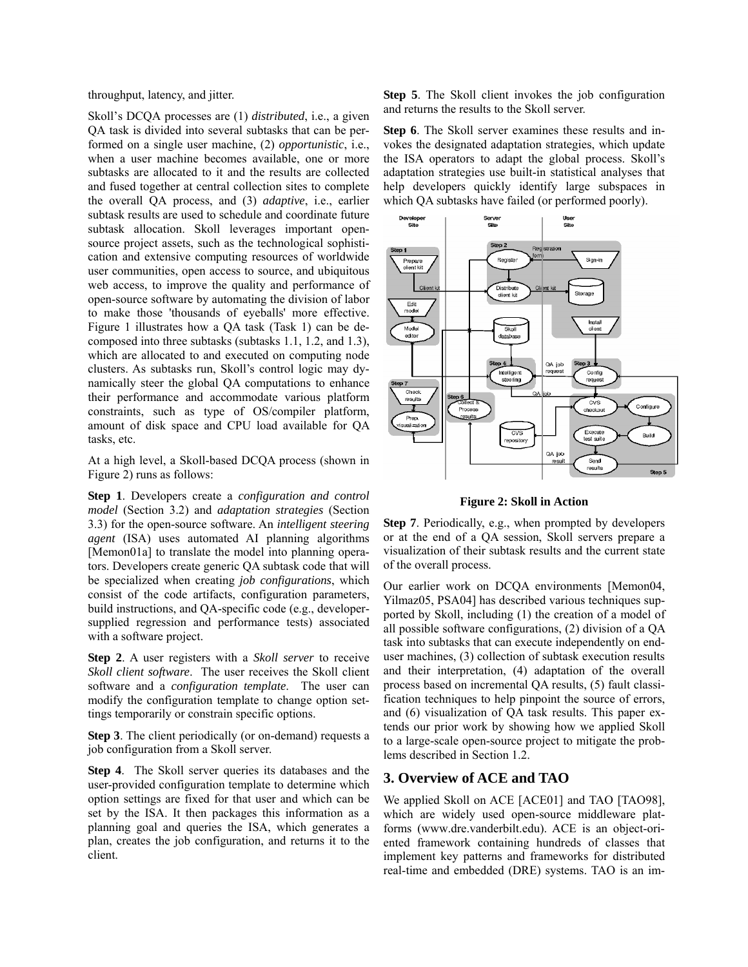throughput, latency, and jitter.

Skoll's DCQA processes are (1) *distributed*, i.e., a given QA task is divided into several subtasks that can be performed on a single user machine, (2) *opportunistic*, i.e., when a user machine becomes available, one or more subtasks are allocated to it and the results are collected and fused together at central collection sites to complete the overall QA process, and (3) *adaptive*, i.e., earlier subtask results are used to schedule and coordinate future subtask allocation. Skoll leverages important opensource project assets, such as the technological sophistication and extensive computing resources of worldwide user communities, open access to source, and ubiquitous web access, to improve the quality and performance of open-source software by automating the division of labor to make those 'thousands of eyeballs' more effective. Figure 1 illustrates how a QA task (Task 1) can be decomposed into three subtasks (subtasks 1.1, 1.2, and 1.3), which are allocated to and executed on computing node clusters. As subtasks run, Skoll's control logic may dynamically steer the global QA computations to enhance their performance and accommodate various platform constraints, such as type of OS/compiler platform, amount of disk space and CPU load available for QA tasks, etc.

At a high level, a Skoll-based DCQA process (shown in Figure 2) runs as follows:

**Step 1**. Developers create a *configuration and control model* (Section 3.2) and *adaptation strategies* (Section 3.3) for the open-source software. An *intelligent steering agent* (ISA) uses automated AI planning algorithms [Memon01a] to translate the model into planning operators. Developers create generic QA subtask code that will be specialized when creating *job configurations*, which consist of the code artifacts, configuration parameters, build instructions, and QA-specific code (e.g., developersupplied regression and performance tests) associated with a software project.

**Step 2**. A user registers with a *Skoll server* to receive *Skoll client software*. The user receives the Skoll client software and a *configuration template*. The user can modify the configuration template to change option settings temporarily or constrain specific options.

**Step 3**. The client periodically (or on-demand) requests a job configuration from a Skoll server.

**Step 4**. The Skoll server queries its databases and the user-provided configuration template to determine which option settings are fixed for that user and which can be set by the ISA. It then packages this information as a planning goal and queries the ISA, which generates a plan, creates the job configuration, and returns it to the client.

**Step 5**. The Skoll client invokes the job configuration and returns the results to the Skoll server.

**Step 6**. The Skoll server examines these results and invokes the designated adaptation strategies, which update the ISA operators to adapt the global process. Skoll's adaptation strategies use built-in statistical analyses that help developers quickly identify large subspaces in which QA subtasks have failed (or performed poorly).



**Figure 2: Skoll in Action** 

**Step 7**. Periodically, e.g., when prompted by developers or at the end of a QA session, Skoll servers prepare a visualization of their subtask results and the current state of the overall process.

Our earlier work on DCQA environments [Memon04, Yilmaz05, PSA04] has described various techniques supported by Skoll, including (1) the creation of a model of all possible software configurations, (2) division of a QA task into subtasks that can execute independently on enduser machines, (3) collection of subtask execution results and their interpretation, (4) adaptation of the overall process based on incremental QA results, (5) fault classification techniques to help pinpoint the source of errors, and (6) visualization of QA task results. This paper extends our prior work by showing how we applied Skoll to a large-scale open-source project to mitigate the problems described in Section 1.2.

## **3. Overview of ACE and TAO**

We applied Skoll on ACE [ACE01] and TAO [TAO98], which are widely used open-source middleware platforms (www.dre.vanderbilt.edu). ACE is an object-oriented framework containing hundreds of classes that implement key patterns and frameworks for distributed real-time and embedded (DRE) systems. TAO is an im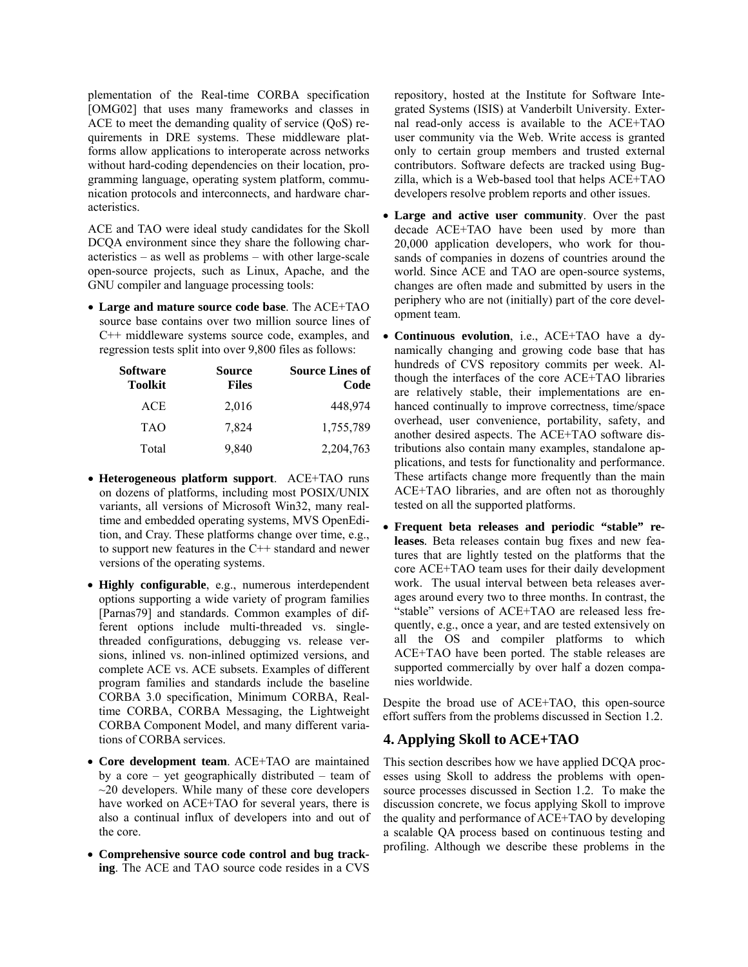plementation of the Real-time CORBA specification [OMG02] that uses many frameworks and classes in ACE to meet the demanding quality of service (QoS) requirements in DRE systems. These middleware platforms allow applications to interoperate across networks without hard-coding dependencies on their location, programming language, operating system platform, communication protocols and interconnects, and hardware characteristics.

ACE and TAO were ideal study candidates for the Skoll DCQA environment since they share the following characteristics – as well as problems – with other large-scale open-source projects, such as Linux, Apache, and the GNU compiler and language processing tools:

• **Large and mature source code base**. The ACE+TAO source base contains over two million source lines of C++ middleware systems source code, examples, and regression tests split into over 9,800 files as follows:

| Software<br><b>Toolkit</b> | <b>Source</b><br><b>Files</b> | <b>Source Lines of</b><br>Code |
|----------------------------|-------------------------------|--------------------------------|
| <b>ACE</b>                 | 2,016                         | 448,974                        |
| <b>TAO</b>                 | 7,824                         | 1,755,789                      |
| Total                      | 9,840                         | 2,204,763                      |

- **Heterogeneous platform support**. ACE+TAO runs on dozens of platforms, including most POSIX/UNIX variants, all versions of Microsoft Win32, many realtime and embedded operating systems, MVS OpenEdition, and Cray. These platforms change over time, e.g., to support new features in the C++ standard and newer versions of the operating systems.
- **Highly configurable**, e.g., numerous interdependent options supporting a wide variety of program families [Parnas79] and standards. Common examples of different options include multi-threaded vs. singlethreaded configurations, debugging vs. release versions, inlined vs. non-inlined optimized versions, and complete ACE vs. ACE subsets. Examples of different program families and standards include the baseline CORBA 3.0 specification, Minimum CORBA, Realtime CORBA, CORBA Messaging, the Lightweight CORBA Component Model, and many different variations of CORBA services.
- **Core development team**. ACE+TAO are maintained by a core – yet geographically distributed – team of  $\sim$ 20 developers. While many of these core developers have worked on ACE+TAO for several years, there is also a continual influx of developers into and out of the core.
- **Comprehensive source code control and bug tracking**. The ACE and TAO source code resides in a CVS

repository, hosted at the Institute for Software Integrated Systems (ISIS) at Vanderbilt University. External read-only access is available to the ACE+TAO user community via the Web. Write access is granted only to certain group members and trusted external contributors. Software defects are tracked using Bugzilla, which is a Web-based tool that helps ACE+TAO developers resolve problem reports and other issues.

- **Large and active user community**. Over the past decade ACE+TAO have been used by more than 20,000 application developers, who work for thousands of companies in dozens of countries around the world. Since ACE and TAO are open-source systems, changes are often made and submitted by users in the periphery who are not (initially) part of the core development team.
- **Continuous evolution**, i.e., ACE+TAO have a dynamically changing and growing code base that has hundreds of CVS repository commits per week. Although the interfaces of the core ACE+TAO libraries are relatively stable, their implementations are enhanced continually to improve correctness, time/space overhead, user convenience, portability, safety, and another desired aspects. The ACE+TAO software distributions also contain many examples, standalone applications, and tests for functionality and performance. These artifacts change more frequently than the main ACE+TAO libraries, and are often not as thoroughly tested on all the supported platforms.
- **Frequent beta releases and periodic "stable" releases***.* Beta releases contain bug fixes and new features that are lightly tested on the platforms that the core ACE+TAO team uses for their daily development work. The usual interval between beta releases averages around every two to three months. In contrast, the "stable" versions of ACE+TAO are released less frequently, e.g., once a year, and are tested extensively on all the OS and compiler platforms to which ACE+TAO have been ported. The stable releases are supported commercially by over half a dozen companies worldwide.

Despite the broad use of ACE+TAO, this open-source effort suffers from the problems discussed in Section 1.2.

## **4. Applying Skoll to ACE+TAO**

This section describes how we have applied DCQA processes using Skoll to address the problems with opensource processes discussed in Section 1.2. To make the discussion concrete, we focus applying Skoll to improve the quality and performance of ACE+TAO by developing a scalable QA process based on continuous testing and profiling. Although we describe these problems in the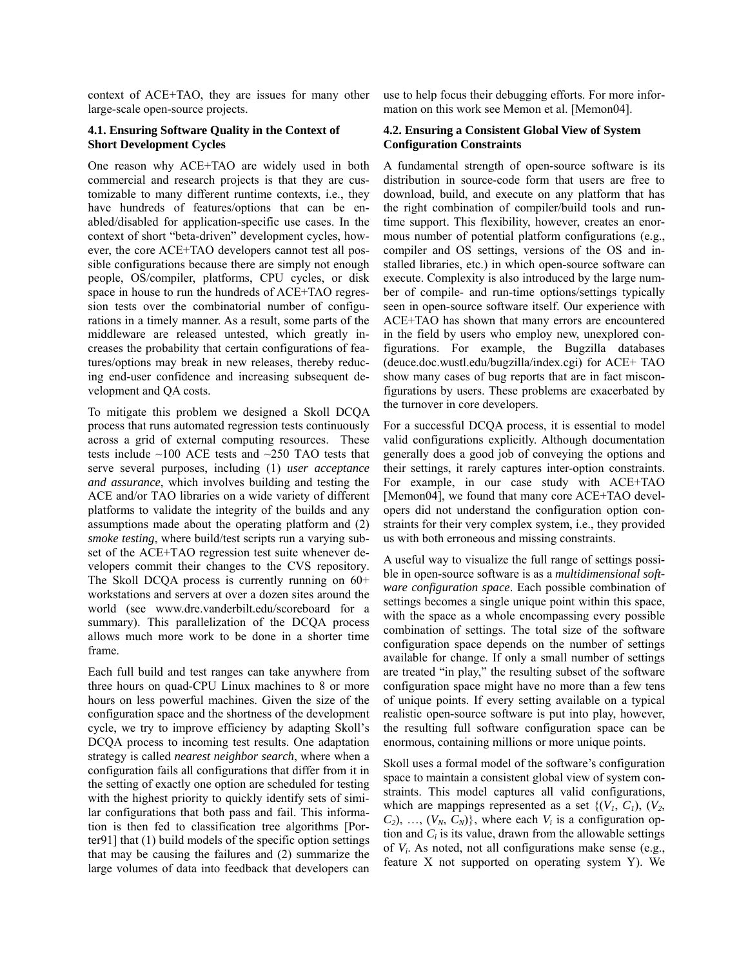context of ACE+TAO, they are issues for many other large-scale open-source projects.

#### **4.1. Ensuring Software Quality in the Context of Short Development Cycles**

One reason why ACE+TAO are widely used in both commercial and research projects is that they are customizable to many different runtime contexts, i.e., they have hundreds of features/options that can be enabled/disabled for application-specific use cases. In the context of short "beta-driven" development cycles, however, the core ACE+TAO developers cannot test all possible configurations because there are simply not enough people, OS/compiler, platforms, CPU cycles, or disk space in house to run the hundreds of ACE+TAO regression tests over the combinatorial number of configurations in a timely manner. As a result, some parts of the middleware are released untested, which greatly increases the probability that certain configurations of features/options may break in new releases, thereby reducing end-user confidence and increasing subsequent development and QA costs.

To mitigate this problem we designed a Skoll DCQA process that runs automated regression tests continuously across a grid of external computing resources. These tests include ~100 ACE tests and ~250 TAO tests that serve several purposes, including (1) *user acceptance and assurance*, which involves building and testing the ACE and/or TAO libraries on a wide variety of different platforms to validate the integrity of the builds and any assumptions made about the operating platform and (2) *smoke testing*, where build/test scripts run a varying subset of the ACE+TAO regression test suite whenever developers commit their changes to the CVS repository. The Skoll DCQA process is currently running on  $60+$ workstations and servers at over a dozen sites around the world (see www.dre.vanderbilt.edu/scoreboard for a summary). This parallelization of the DCQA process allows much more work to be done in a shorter time frame.

Each full build and test ranges can take anywhere from three hours on quad-CPU Linux machines to 8 or more hours on less powerful machines. Given the size of the configuration space and the shortness of the development cycle, we try to improve efficiency by adapting Skoll's DCQA process to incoming test results. One adaptation strategy is called *nearest neighbor search*, where when a configuration fails all configurations that differ from it in the setting of exactly one option are scheduled for testing with the highest priority to quickly identify sets of similar configurations that both pass and fail. This information is then fed to classification tree algorithms [Porter91] that (1) build models of the specific option settings that may be causing the failures and (2) summarize the large volumes of data into feedback that developers can

use to help focus their debugging efforts. For more information on this work see Memon et al. [Memon04].

#### **4.2. Ensuring a Consistent Global View of System Configuration Constraints**

A fundamental strength of open-source software is its distribution in source-code form that users are free to download, build, and execute on any platform that has the right combination of compiler/build tools and runtime support. This flexibility, however, creates an enormous number of potential platform configurations (e.g., compiler and OS settings, versions of the OS and installed libraries, etc.) in which open-source software can execute. Complexity is also introduced by the large number of compile- and run-time options/settings typically seen in open-source software itself. Our experience with ACE+TAO has shown that many errors are encountered in the field by users who employ new, unexplored configurations. For example, the Bugzilla databases (deuce.doc.wustl.edu/bugzilla/index.cgi) for ACE+ TAO show many cases of bug reports that are in fact misconfigurations by users. These problems are exacerbated by the turnover in core developers.

For a successful DCQA process, it is essential to model valid configurations explicitly. Although documentation generally does a good job of conveying the options and their settings, it rarely captures inter-option constraints. For example, in our case study with ACE+TAO [Memon04], we found that many core ACE+TAO developers did not understand the configuration option constraints for their very complex system, i.e., they provided us with both erroneous and missing constraints.

A useful way to visualize the full range of settings possible in open-source software is as a *multidimensional software configuration space*. Each possible combination of settings becomes a single unique point within this space, with the space as a whole encompassing every possible combination of settings. The total size of the software configuration space depends on the number of settings available for change. If only a small number of settings are treated "in play," the resulting subset of the software configuration space might have no more than a few tens of unique points. If every setting available on a typical realistic open-source software is put into play, however, the resulting full software configuration space can be enormous, containing millions or more unique points.

Skoll uses a formal model of the software's configuration space to maintain a consistent global view of system constraints. This model captures all valid configurations, which are mappings represented as a set  $\{ (V_1, C_1), (V_2, V_1)\}$  $C_2$ , ...,  $(V_N, C_N)$ , where each  $V_i$  is a configuration option and  $C_i$  is its value, drawn from the allowable settings of *Vi*. As noted, not all configurations make sense (e.g., feature X not supported on operating system Y). We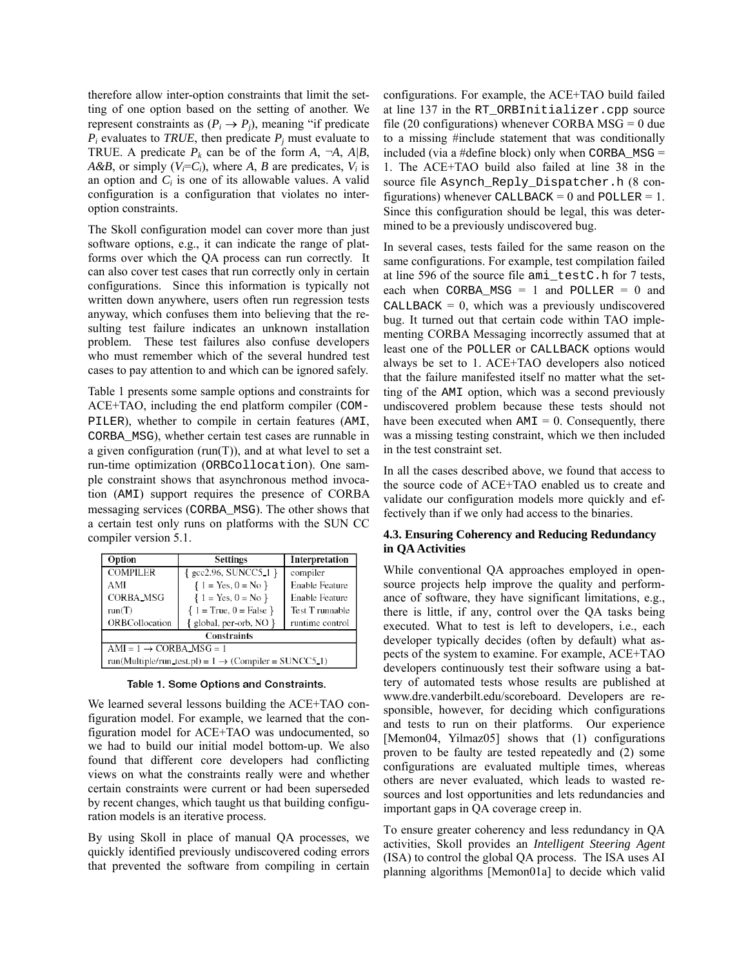therefore allow inter-option constraints that limit the setting of one option based on the setting of another. We represent constraints as  $(P_i \rightarrow P_j)$ , meaning "if predicate"  $P_i$  evaluates to *TRUE*, then predicate  $P_j$  must evaluate to TRUE. A predicate  $P_k$  can be of the form  $A$ ,  $\neg A$ ,  $A/B$ , *A&B*, or simply  $(V_i = C_i)$ , where *A*, *B* are predicates,  $V_i$  is an option and  $C_i$  is one of its allowable values. A valid configuration is a configuration that violates no interoption constraints.

The Skoll configuration model can cover more than just software options, e.g., it can indicate the range of platforms over which the QA process can run correctly. It can also cover test cases that run correctly only in certain configurations. Since this information is typically not written down anywhere, users often run regression tests anyway, which confuses them into believing that the resulting test failure indicates an unknown installation problem. These test failures also confuse developers who must remember which of the several hundred test cases to pay attention to and which can be ignored safely.

Table 1 presents some sample options and constraints for ACE+TAO, including the end platform compiler (COM-PILER), whether to compile in certain features (AMI, CORBA\_MSG), whether certain test cases are runnable in a given configuration ( $run(T)$ ), and at what level to set a run-time optimization (ORBCollocation). One sample constraint shows that asynchronous method invocation (AMI) support requires the presence of CORBA messaging services (CORBA\_MSG). The other shows that a certain test only runs on platforms with the SUN CC compiler version 5.1.

| Option                                                            | <b>Settings</b>                         | Interpretation        |  |  |
|-------------------------------------------------------------------|-----------------------------------------|-----------------------|--|--|
| <b>COMPILER</b>                                                   | $\{ \text{gcc2.96}, \text{SUNCC5}_1 \}$ | compiler              |  |  |
| AMI                                                               | ${1 = Yes, 0 = No}$                     | <b>Enable Feature</b> |  |  |
| <b>CORBA_MSG</b>                                                  | ${1 = Yes, 0 = No}$                     | <b>Enable Feature</b> |  |  |
| run(T)                                                            | $\{1 = True, 0 = False\}$               | Test T runnable       |  |  |
| ORBCollocation                                                    | $\{$ global, per-orb, NO $\}$           | runtime control       |  |  |
| <b>Constraints</b>                                                |                                         |                       |  |  |
| $AMI = 1 \rightarrow CORBA_MSG = 1$                               |                                         |                       |  |  |
| run(Multiple/run_test.pl) = $1 \rightarrow$ (Compiler = SUNCC5_1) |                                         |                       |  |  |

Table 1. Some Options and Constraints.

We learned several lessons building the ACE+TAO configuration model. For example, we learned that the configuration model for ACE+TAO was undocumented, so we had to build our initial model bottom-up. We also found that different core developers had conflicting views on what the constraints really were and whether certain constraints were current or had been superseded by recent changes, which taught us that building configuration models is an iterative process.

By using Skoll in place of manual QA processes, we quickly identified previously undiscovered coding errors that prevented the software from compiling in certain

configurations. For example, the ACE+TAO build failed at line 137 in the RT\_ORBInitializer.cpp source file (20 configurations) whenever CORBA  $MSG = 0$  due to a missing #include statement that was conditionally included (via a #define block) only when  $CORBA_MSG =$ 1. The ACE+TAO build also failed at line 38 in the source file Asynch\_Reply\_Dispatcher.h (8 configurations) whenever CALLBACK = 0 and POLLER = 1. Since this configuration should be legal, this was determined to be a previously undiscovered bug.

In several cases, tests failed for the same reason on the same configurations. For example, test compilation failed at line 596 of the source file ami\_testC.h for 7 tests, each when CORBA\_MSG = 1 and POLLER =  $0$  and CALLBACK  $= 0$ , which was a previously undiscovered bug. It turned out that certain code within TAO implementing CORBA Messaging incorrectly assumed that at least one of the POLLER or CALLBACK options would always be set to 1. ACE+TAO developers also noticed that the failure manifested itself no matter what the setting of the AMI option, which was a second previously undiscovered problem because these tests should not have been executed when  $AMI = 0$ . Consequently, there was a missing testing constraint, which we then included in the test constraint set.

In all the cases described above, we found that access to the source code of ACE+TAO enabled us to create and validate our configuration models more quickly and effectively than if we only had access to the binaries.

#### **4.3. Ensuring Coherency and Reducing Redundancy in QA Activities**

While conventional QA approaches employed in opensource projects help improve the quality and performance of software, they have significant limitations, e.g., there is little, if any, control over the QA tasks being executed. What to test is left to developers, i.e., each developer typically decides (often by default) what aspects of the system to examine. For example, ACE+TAO developers continuously test their software using a battery of automated tests whose results are published at www.dre.vanderbilt.edu/scoreboard. Developers are responsible, however, for deciding which configurations and tests to run on their platforms. Our experience [Memon04, Yilmaz05] shows that (1) configurations proven to be faulty are tested repeatedly and (2) some configurations are evaluated multiple times, whereas others are never evaluated, which leads to wasted resources and lost opportunities and lets redundancies and important gaps in QA coverage creep in.

To ensure greater coherency and less redundancy in QA activities, Skoll provides an *Intelligent Steering Agent* (ISA) to control the global QA process. The ISA uses AI planning algorithms [Memon01a] to decide which valid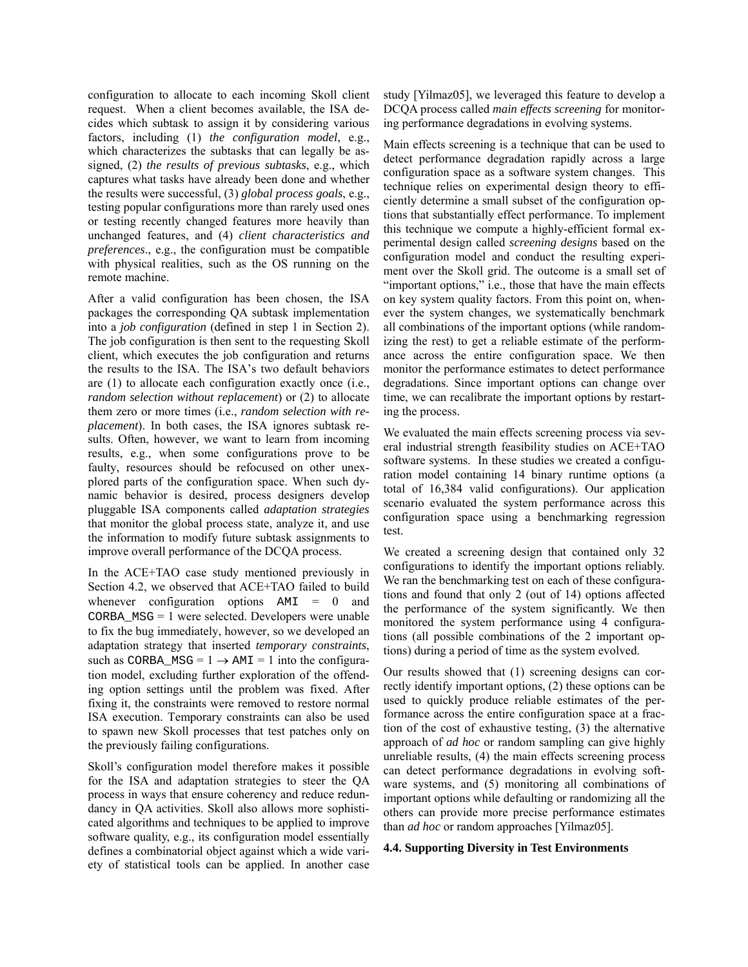configuration to allocate to each incoming Skoll client request. When a client becomes available, the ISA decides which subtask to assign it by considering various factors, including (1) *the configuration model*, e.g., which characterizes the subtasks that can legally be assigned, (2) *the results of previous subtasks*, e.g., which captures what tasks have already been done and whether the results were successful, (3) *global process goals*, e.g., testing popular configurations more than rarely used ones or testing recently changed features more heavily than unchanged features, and (4) *client characteristics and preferences*., e.g., the configuration must be compatible with physical realities, such as the OS running on the remote machine.

After a valid configuration has been chosen, the ISA packages the corresponding QA subtask implementation into a *job configuration* (defined in step 1 in Section 2). The job configuration is then sent to the requesting Skoll client, which executes the job configuration and returns the results to the ISA. The ISA's two default behaviors are (1) to allocate each configuration exactly once (i.e., *random selection without replacement*) or (2) to allocate them zero or more times (i.e., *random selection with replacement*). In both cases, the ISA ignores subtask results. Often, however, we want to learn from incoming results, e.g., when some configurations prove to be faulty, resources should be refocused on other unexplored parts of the configuration space. When such dynamic behavior is desired, process designers develop pluggable ISA components called *adaptation strategies* that monitor the global process state, analyze it, and use the information to modify future subtask assignments to improve overall performance of the DCQA process.

In the ACE+TAO case study mentioned previously in Section 4.2, we observed that ACE+TAO failed to build whenever configuration options  $AMI = 0$  and CORBA\_MSG = 1 were selected. Developers were unable to fix the bug immediately, however, so we developed an adaptation strategy that inserted *temporary constraints*, such as CORBA  $MSG = 1 \rightarrow AMI = 1$  into the configuration model, excluding further exploration of the offending option settings until the problem was fixed. After fixing it, the constraints were removed to restore normal ISA execution. Temporary constraints can also be used to spawn new Skoll processes that test patches only on the previously failing configurations.

Skoll's configuration model therefore makes it possible for the ISA and adaptation strategies to steer the QA process in ways that ensure coherency and reduce redundancy in QA activities. Skoll also allows more sophisticated algorithms and techniques to be applied to improve software quality, e.g., its configuration model essentially defines a combinatorial object against which a wide variety of statistical tools can be applied. In another case study [Yilmaz05], we leveraged this feature to develop a DCQA process called *main effects screening* for monitoring performance degradations in evolving systems.

Main effects screening is a technique that can be used to detect performance degradation rapidly across a large configuration space as a software system changes. This technique relies on experimental design theory to efficiently determine a small subset of the configuration options that substantially effect performance. To implement this technique we compute a highly-efficient formal experimental design called *screening designs* based on the configuration model and conduct the resulting experiment over the Skoll grid. The outcome is a small set of "important options," i.e., those that have the main effects on key system quality factors. From this point on, whenever the system changes, we systematically benchmark all combinations of the important options (while randomizing the rest) to get a reliable estimate of the performance across the entire configuration space. We then monitor the performance estimates to detect performance degradations. Since important options can change over time, we can recalibrate the important options by restarting the process.

We evaluated the main effects screening process via several industrial strength feasibility studies on ACE+TAO software systems. In these studies we created a configuration model containing 14 binary runtime options (a total of 16,384 valid configurations). Our application scenario evaluated the system performance across this configuration space using a benchmarking regression test.

We created a screening design that contained only 32 configurations to identify the important options reliably. We ran the benchmarking test on each of these configurations and found that only 2 (out of 14) options affected the performance of the system significantly. We then monitored the system performance using 4 configurations (all possible combinations of the 2 important options) during a period of time as the system evolved.

Our results showed that (1) screening designs can correctly identify important options, (2) these options can be used to quickly produce reliable estimates of the performance across the entire configuration space at a fraction of the cost of exhaustive testing, (3) the alternative approach of *ad hoc* or random sampling can give highly unreliable results, (4) the main effects screening process can detect performance degradations in evolving software systems, and (5) monitoring all combinations of important options while defaulting or randomizing all the others can provide more precise performance estimates than *ad hoc* or random approaches [Yilmaz05].

#### **4.4. Supporting Diversity in Test Environments**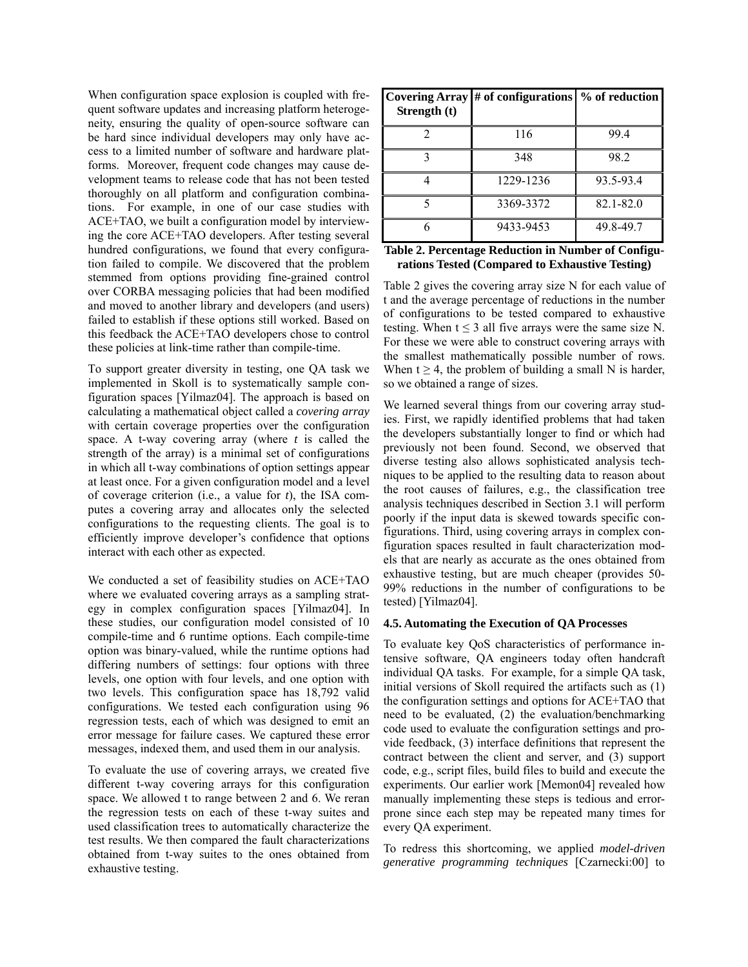When configuration space explosion is coupled with frequent software updates and increasing platform heterogeneity, ensuring the quality of open-source software can be hard since individual developers may only have access to a limited number of software and hardware platforms. Moreover, frequent code changes may cause development teams to release code that has not been tested thoroughly on all platform and configuration combinations. For example, in one of our case studies with ACE+TAO, we built a configuration model by interviewing the core ACE+TAO developers. After testing several hundred configurations, we found that every configuration failed to compile. We discovered that the problem stemmed from options providing fine-grained control over CORBA messaging policies that had been modified and moved to another library and developers (and users) failed to establish if these options still worked. Based on this feedback the ACE+TAO developers chose to control these policies at link-time rather than compile-time.

To support greater diversity in testing, one QA task we implemented in Skoll is to systematically sample configuration spaces [Yilmaz04]. The approach is based on calculating a mathematical object called a *covering array* with certain coverage properties over the configuration space. A t-way covering array (where *t* is called the strength of the array) is a minimal set of configurations in which all t-way combinations of option settings appear at least once. For a given configuration model and a level of coverage criterion (i.e., a value for *t*), the ISA computes a covering array and allocates only the selected configurations to the requesting clients. The goal is to efficiently improve developer's confidence that options interact with each other as expected.

We conducted a set of feasibility studies on ACE+TAO where we evaluated covering arrays as a sampling strategy in complex configuration spaces [Yilmaz04]. In these studies, our configuration model consisted of 10 compile-time and 6 runtime options. Each compile-time option was binary-valued, while the runtime options had differing numbers of settings: four options with three levels, one option with four levels, and one option with two levels. This configuration space has 18,792 valid configurations. We tested each configuration using 96 regression tests, each of which was designed to emit an error message for failure cases. We captured these error messages, indexed them, and used them in our analysis.

To evaluate the use of covering arrays, we created five different t-way covering arrays for this configuration space. We allowed t to range between 2 and 6. We reran the regression tests on each of these t-way suites and used classification trees to automatically characterize the test results. We then compared the fault characterizations obtained from t-way suites to the ones obtained from exhaustive testing.

| Strength (t) | Covering Array $\#$ of configurations $\%$ of reduction |           |
|--------------|---------------------------------------------------------|-----------|
|              | 116                                                     | 99.4      |
|              | 348                                                     | 98.2      |
|              | 1229-1236                                               | 93.5-93.4 |
|              | 3369-3372                                               | 82.1-82.0 |
|              | 9433-9453                                               | 49.8-49.7 |

| Table 2. Percentage Reduction in Number of Configu- |
|-----------------------------------------------------|
| rations Tested (Compared to Exhaustive Testing)     |

Table 2 gives the covering array size N for each value of t and the average percentage of reductions in the number of configurations to be tested compared to exhaustive testing. When  $t \leq 3$  all five arrays were the same size N. For these we were able to construct covering arrays with the smallest mathematically possible number of rows. When  $t \geq 4$ , the problem of building a small N is harder, so we obtained a range of sizes.

We learned several things from our covering array studies. First, we rapidly identified problems that had taken the developers substantially longer to find or which had previously not been found. Second, we observed that diverse testing also allows sophisticated analysis techniques to be applied to the resulting data to reason about the root causes of failures, e.g., the classification tree analysis techniques described in Section 3.1 will perform poorly if the input data is skewed towards specific configurations. Third, using covering arrays in complex configuration spaces resulted in fault characterization models that are nearly as accurate as the ones obtained from exhaustive testing, but are much cheaper (provides 50- 99% reductions in the number of configurations to be tested) [Yilmaz04].

#### **4.5. Automating the Execution of QA Processes**

To evaluate key QoS characteristics of performance intensive software, QA engineers today often handcraft individual QA tasks. For example, for a simple QA task, initial versions of Skoll required the artifacts such as (1) the configuration settings and options for ACE+TAO that need to be evaluated, (2) the evaluation/benchmarking code used to evaluate the configuration settings and provide feedback, (3) interface definitions that represent the contract between the client and server, and (3) support code, e.g., script files, build files to build and execute the experiments. Our earlier work [Memon04] revealed how manually implementing these steps is tedious and errorprone since each step may be repeated many times for every QA experiment.

To redress this shortcoming, we applied *model-driven generative programming techniques* [Czarnecki:00] to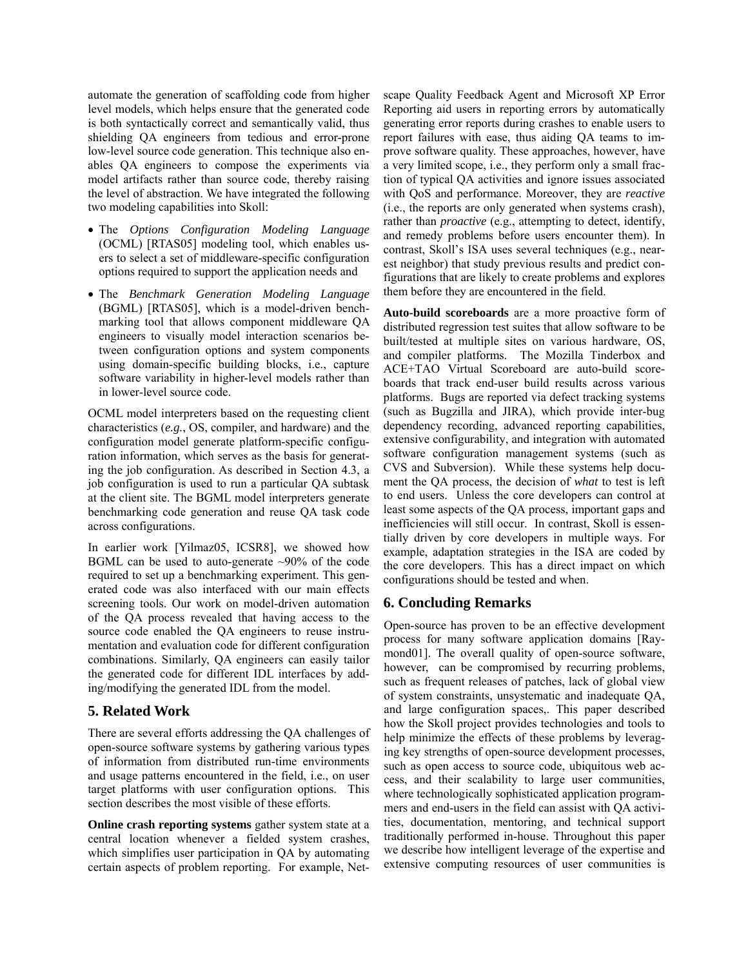automate the generation of scaffolding code from higher level models, which helps ensure that the generated code is both syntactically correct and semantically valid, thus shielding QA engineers from tedious and error-prone low-level source code generation. This technique also enables QA engineers to compose the experiments via model artifacts rather than source code, thereby raising the level of abstraction. We have integrated the following two modeling capabilities into Skoll:

- The *Options Configuration Modeling Language* (OCML) [RTAS05] modeling tool, which enables users to select a set of middleware-specific configuration options required to support the application needs and
- The *Benchmark Generation Modeling Language* (BGML) [RTAS05], which is a model-driven benchmarking tool that allows component middleware QA engineers to visually model interaction scenarios between configuration options and system components using domain-specific building blocks, i.e., capture software variability in higher-level models rather than in lower-level source code.

OCML model interpreters based on the requesting client characteristics (*e.g.*, OS, compiler, and hardware) and the configuration model generate platform-specific configuration information, which serves as the basis for generating the job configuration. As described in Section 4.3, a job configuration is used to run a particular QA subtask at the client site. The BGML model interpreters generate benchmarking code generation and reuse QA task code across configurations.

In earlier work [Yilmaz05, ICSR8], we showed how BGML can be used to auto-generate ~90% of the code required to set up a benchmarking experiment. This generated code was also interfaced with our main effects screening tools. Our work on model-driven automation of the QA process revealed that having access to the source code enabled the QA engineers to reuse instrumentation and evaluation code for different configuration combinations. Similarly, QA engineers can easily tailor the generated code for different IDL interfaces by adding/modifying the generated IDL from the model.

### **5. Related Work**

There are several efforts addressing the QA challenges of open-source software systems by gathering various types of information from distributed run-time environments and usage patterns encountered in the field, i.e., on user target platforms with user configuration options. This section describes the most visible of these efforts.

**Online crash reporting systems** gather system state at a central location whenever a fielded system crashes, which simplifies user participation in QA by automating certain aspects of problem reporting. For example, Netscape Quality Feedback Agent and Microsoft XP Error Reporting aid users in reporting errors by automatically generating error reports during crashes to enable users to report failures with ease, thus aiding QA teams to improve software quality. These approaches, however, have a very limited scope, i.e., they perform only a small fraction of typical QA activities and ignore issues associated with QoS and performance. Moreover, they are *reactive* (i.e., the reports are only generated when systems crash), rather than *proactive* (e.g., attempting to detect, identify, and remedy problems before users encounter them). In contrast, Skoll's ISA uses several techniques (e.g., nearest neighbor) that study previous results and predict configurations that are likely to create problems and explores them before they are encountered in the field.

**Auto-build scoreboards** are a more proactive form of distributed regression test suites that allow software to be built/tested at multiple sites on various hardware, OS, and compiler platforms. The Mozilla Tinderbox and ACE+TAO Virtual Scoreboard are auto-build scoreboards that track end-user build results across various platforms. Bugs are reported via defect tracking systems (such as Bugzilla and JIRA), which provide inter-bug dependency recording, advanced reporting capabilities, extensive configurability, and integration with automated software configuration management systems (such as CVS and Subversion). While these systems help document the QA process, the decision of *what* to test is left to end users. Unless the core developers can control at least some aspects of the QA process, important gaps and inefficiencies will still occur. In contrast, Skoll is essentially driven by core developers in multiple ways. For example, adaptation strategies in the ISA are coded by the core developers. This has a direct impact on which configurations should be tested and when.

## **6. Concluding Remarks**

Open-source has proven to be an effective development process for many software application domains [Raymond01]. The overall quality of open-source software, however, can be compromised by recurring problems, such as frequent releases of patches, lack of global view of system constraints, unsystematic and inadequate QA, and large configuration spaces,. This paper described how the Skoll project provides technologies and tools to help minimize the effects of these problems by leveraging key strengths of open-source development processes, such as open access to source code, ubiquitous web access, and their scalability to large user communities, where technologically sophisticated application programmers and end-users in the field can assist with QA activities, documentation, mentoring, and technical support traditionally performed in-house. Throughout this paper we describe how intelligent leverage of the expertise and extensive computing resources of user communities is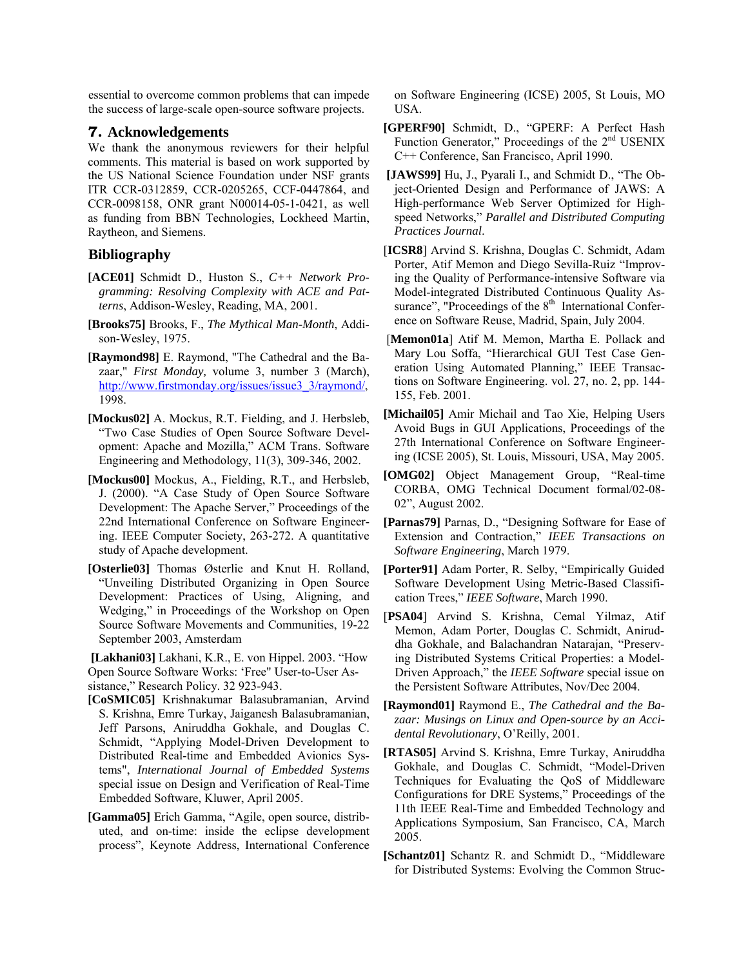essential to overcome common problems that can impede the success of large-scale open-source software projects.

### **7. Acknowledgements**

We thank the anonymous reviewers for their helpful comments. This material is based on work supported by the US National Science Foundation under NSF grants ITR CCR-0312859, CCR-0205265, CCF-0447864, and CCR-0098158, ONR grant N00014-05-1-0421, as well as funding from BBN Technologies, Lockheed Martin, Raytheon, and Siemens.

# **Bibliography**

- **[ACE01]** Schmidt D., Huston S., *C++ Network Programming: Resolving Complexity with ACE and Patterns*, Addison-Wesley, Reading, MA, 2001.
- **[Brooks75]** Brooks, F., *The Mythical Man-Month*, Addison-Wesley, 1975.
- **[Raymond98]** E. Raymond, "The Cathedral and the Bazaar," *First Monday,* volume 3, number 3 (March), [http://www.firstmonday.org/issues/issue3\\_3/raymond/,](http://www.firstmonday.org/issues/issue3_3/raymond/) 1998.
- **[Mockus02]** A. Mockus, R.T. Fielding, and J. Herbsleb, "Two Case Studies of Open Source Software Development: Apache and Mozilla," ACM Trans. Software Engineering and Methodology, 11(3), 309-346, 2002.
- **[Mockus00]** Mockus, A., Fielding, R.T., and Herbsleb, J. (2000). "A Case Study of Open Source Software Development: The Apache Server," Proceedings of the 22nd International Conference on Software Engineering. IEEE Computer Society, 263-272. A quantitative study of Apache development.
- **[Osterlie03]** Thomas Østerlie and Knut H. Rolland, "Unveiling Distributed Organizing in Open Source Development: Practices of Using, Aligning, and Wedging," in [Proceedings of the Workshop on Open](http://opensource.ucc.ie/ct2003/)  [Source Software Movements and Communities](http://opensource.ucc.ie/ct2003/), 19-22 September 2003, Amsterdam

 **[Lakhani03]** Lakhani, K.R., E. von Hippel. 2003. "How Open Source Software Works: 'Free" User-to-User Assistance," Research Policy. 32 923-943.

- **[CoSMIC05]** Krishnakumar Balasubramanian, Arvind S. Krishna, Emre Turkay, Jaiganesh Balasubramanian, Jeff Parsons, Aniruddha Gokhale, and Douglas C. Schmidt, "Applying Model-Driven Development to Distributed Real-time and Embedded Avionics Systems", *International Journal of Embedded Systems* special issue on Design and Verification of Real-Time Embedded Software, Kluwer, April 2005.
- **[Gamma05]** Erich Gamma, "Agile, open source, distributed, and on-time: inside the eclipse development process", Keynote Address, International Conference

on Software Engineering (ICSE) 2005, St Louis, MO USA.

- **[GPERF90]** Schmidt, D., "GPERF: A Perfect Hash Function Generator," Proceedings of the 2<sup>nd</sup> USENIX C++ Conference, San Francisco, April 1990.
- **[JAWS99]** Hu, J., Pyarali I., and Schmidt D., "The Object-Oriented Design and Performance of JAWS: A High-performance Web Server Optimized for Highspeed Networks," *Parallel and Distributed Computing Practices Journal*.
- [**ICSR8**] Arvind S. Krishna, Douglas C. Schmidt, Adam Porter, Atif Memon and Diego Sevilla-Ruiz "Improving the Quality of Performance-intensive Software via Model-integrated Distributed Continuous Quality Assurance", "Proceedings of the  $8<sup>th</sup>$  International Conference on Software Reuse, Madrid, Spain, July 2004.
- [**Memon01a**] Atif M. Memon, Martha E. Pollack and Mary Lou Soffa, "Hierarchical GUI Test Case Generation Using Automated Planning," IEEE Transactions on Software Engineering. vol. 27, no. 2, pp. 144- 155, Feb. 2001.
- **[Michail05]** Amir Michail and Tao Xie, Helping Users Avoid Bugs in GUI Applications, Proceedings of the 27th International Conference on Software Engineering (ICSE 2005), St. Louis, Missouri, USA, May 2005.
- **[OMG02]** Object Management Group, "Real-time CORBA, OMG Technical Document formal/02-08- 02", August 2002.
- **[Parnas79]** Parnas, D., "Designing Software for Ease of Extension and Contraction," *IEEE Transactions on Software Engineering*, March 1979.
- **[Porter91]** Adam Porter, R. Selby, "Empirically Guided Software Development Using Metric-Based Classification Trees," *IEEE Software*, March 1990.
- [**PSA04**] Arvind S. Krishna, Cemal Yilmaz, Atif Memon, Adam Porter, Douglas C. Schmidt, Aniruddha Gokhale, and Balachandran Natarajan, "Preserving Distributed Systems Critical Properties: a Model-Driven Approach," the *IEEE Software* special issue on the Persistent Software Attributes, Nov/Dec 2004.
- **[Raymond01]** Raymond E., *The Cathedral and the Bazaar: Musings on Linux and Open-source by an Accidental Revolutionary*, O'Reilly, 2001.
- **[RTAS05]** Arvind S. Krishna, Emre Turkay, Aniruddha Gokhale, and Douglas C. Schmidt, "Model-Driven Techniques for Evaluating the QoS of Middleware Configurations for DRE Systems," Proceedings of the 11th IEEE Real-Time and Embedded Technology and Applications Symposium, San Francisco, CA, March 2005.
- **[Schantz01]** Schantz R. and Schmidt D., "Middleware for Distributed Systems: Evolving the Common Struc-